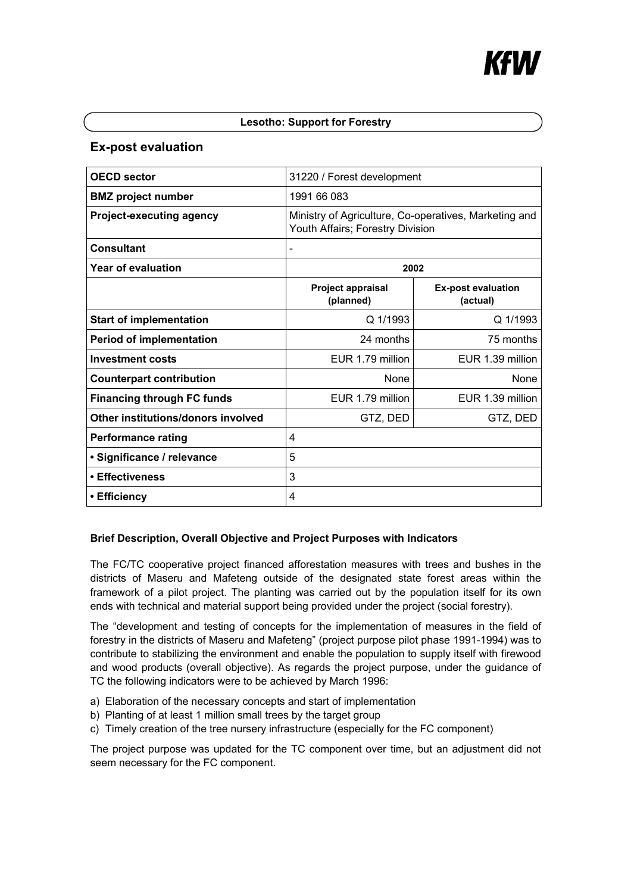## **Lesotho: Support for Forestry**

# **Ex-post evaluation**

| <b>OECD</b> sector                 | 31220 / Forest development                                                                |                                       |
|------------------------------------|-------------------------------------------------------------------------------------------|---------------------------------------|
| <b>BMZ</b> project number          | 1991 66 083                                                                               |                                       |
| <b>Project-executing agency</b>    | Ministry of Agriculture, Co-operatives, Marketing and<br>Youth Affairs; Forestry Division |                                       |
| Consultant                         |                                                                                           |                                       |
| Year of evaluation                 | 2002                                                                                      |                                       |
|                                    | <b>Project appraisal</b><br>(planned)                                                     | <b>Ex-post evaluation</b><br>(actual) |
| <b>Start of implementation</b>     | $Q$ 1/1993                                                                                | Q 1/1993                              |
| <b>Period of implementation</b>    | 24 months                                                                                 | 75 months                             |
| <b>Investment costs</b>            | EUR 1.79 million                                                                          | EUR 1.39 million                      |
| <b>Counterpart contribution</b>    | <b>None</b>                                                                               | None                                  |
| <b>Financing through FC funds</b>  | EUR 1.79 million                                                                          | EUR 1.39 million                      |
| Other institutions/donors involved | GTZ, DED                                                                                  | GTZ, DED                              |
| <b>Performance rating</b>          | 4                                                                                         |                                       |
| • Significance / relevance         | 5                                                                                         |                                       |
| • Effectiveness                    | 3                                                                                         |                                       |
| • Efficiency                       | 4                                                                                         |                                       |

# **Brief Description, Overall Objective and Project Purposes with Indicators**

The FC/TC cooperative project financed afforestation measures with trees and bushes in the districts of Maseru and Mafeteng outside of the designated state forest areas within the framework of a pilot project. The planting was carried out by the population itself for its own ends with technical and material support being provided under the project (social forestry).

The "development and testing of concepts for the implementation of measures in the field of forestry in the districts of Maseru and Mafeteng" (project purpose pilot phase 1991-1994) was to contribute to stabilizing the environment and enable the population to supply itself with firewood and wood products (overall objective). As regards the project purpose, under the guidance of TC the following indicators were to be achieved by March 1996:

- a) Elaboration of the necessary concepts and start of implementation
- b) Planting of at least 1 million small trees by the target group
- c) Timely creation of the tree nursery infrastructure (especially for the FC component)

The project purpose was updated for the TC component over time, but an adjustment did not seem necessary for the FC component.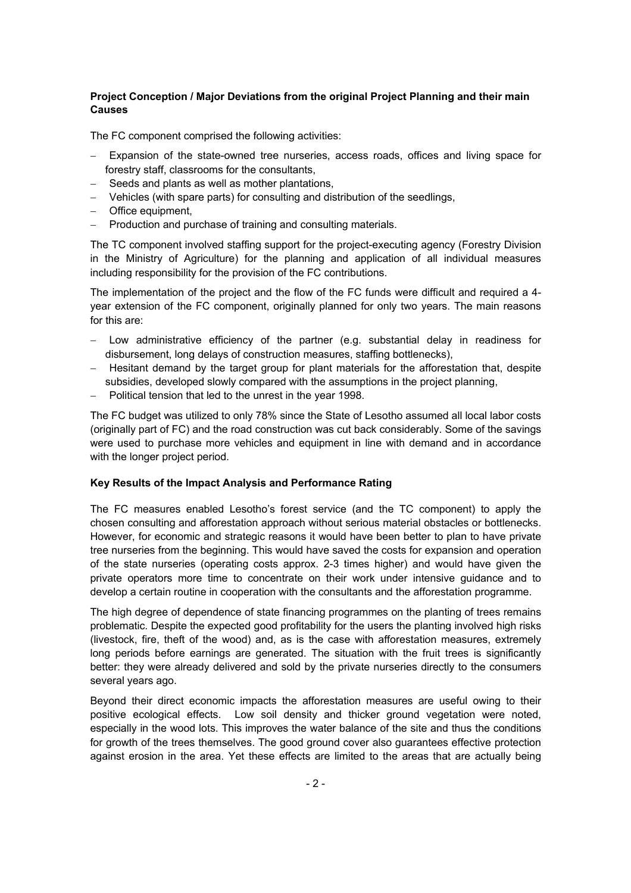## **Project Conception / Major Deviations from the original Project Planning and their main Causes**

The FC component comprised the following activities:

- Expansion of the state-owned tree nurseries, access roads, offices and living space for forestry staff, classrooms for the consultants,
- − Seeds and plants as well as mother plantations,
- − Vehicles (with spare parts) for consulting and distribution of the seedlings,
- − Office equipment,
- − Production and purchase of training and consulting materials.

The TC component involved staffing support for the project-executing agency (Forestry Division in the Ministry of Agriculture) for the planning and application of all individual measures including responsibility for the provision of the FC contributions.

The implementation of the project and the flow of the FC funds were difficult and required a 4 year extension of the FC component, originally planned for only two years. The main reasons for this are:

- Low administrative efficiency of the partner (e.g. substantial delay in readiness for disbursement, long delays of construction measures, staffing bottlenecks),
- − Hesitant demand by the target group for plant materials for the afforestation that, despite subsidies, developed slowly compared with the assumptions in the project planning,
- − Political tension that led to the unrest in the year 1998.

The FC budget was utilized to only 78% since the State of Lesotho assumed all local labor costs (originally part of FC) and the road construction was cut back considerably. Some of the savings were used to purchase more vehicles and equipment in line with demand and in accordance with the longer project period.

## **Key Results of the Impact Analysis and Performance Rating**

The FC measures enabled Lesotho's forest service (and the TC component) to apply the chosen consulting and afforestation approach without serious material obstacles or bottlenecks. However, for economic and strategic reasons it would have been better to plan to have private tree nurseries from the beginning. This would have saved the costs for expansion and operation of the state nurseries (operating costs approx. 2-3 times higher) and would have given the private operators more time to concentrate on their work under intensive guidance and to develop a certain routine in cooperation with the consultants and the afforestation programme.

The high degree of dependence of state financing programmes on the planting of trees remains problematic. Despite the expected good profitability for the users the planting involved high risks (livestock, fire, theft of the wood) and, as is the case with afforestation measures, extremely long periods before earnings are generated. The situation with the fruit trees is significantly better: they were already delivered and sold by the private nurseries directly to the consumers several years ago.

Beyond their direct economic impacts the afforestation measures are useful owing to their positive ecological effects. Low soil density and thicker ground vegetation were noted, especially in the wood lots. This improves the water balance of the site and thus the conditions for growth of the trees themselves. The good ground cover also guarantees effective protection against erosion in the area. Yet these effects are limited to the areas that are actually being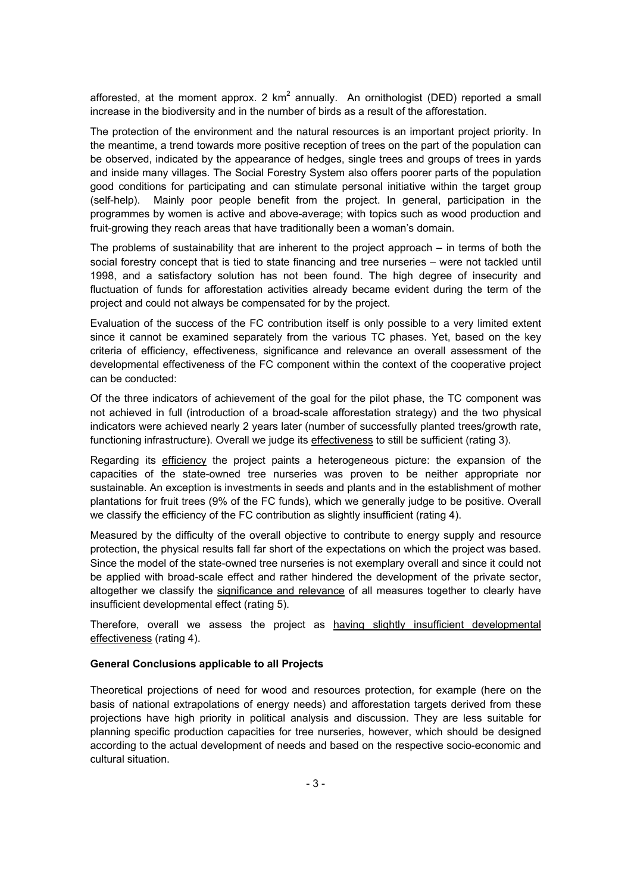afforested, at the moment approx. 2  $km^2$  annually. An ornithologist (DED) reported a small increase in the biodiversity and in the number of birds as a result of the afforestation.

The protection of the environment and the natural resources is an important project priority. In the meantime, a trend towards more positive reception of trees on the part of the population can be observed, indicated by the appearance of hedges, single trees and groups of trees in yards and inside many villages. The Social Forestry System also offers poorer parts of the population good conditions for participating and can stimulate personal initiative within the target group (self-help). Mainly poor people benefit from the project. In general, participation in the programmes by women is active and above-average; with topics such as wood production and fruit-growing they reach areas that have traditionally been a woman's domain.

The problems of sustainability that are inherent to the project approach – in terms of both the social forestry concept that is tied to state financing and tree nurseries – were not tackled until 1998, and a satisfactory solution has not been found. The high degree of insecurity and fluctuation of funds for afforestation activities already became evident during the term of the project and could not always be compensated for by the project.

Evaluation of the success of the FC contribution itself is only possible to a very limited extent since it cannot be examined separately from the various TC phases. Yet, based on the key criteria of efficiency, effectiveness, significance and relevance an overall assessment of the developmental effectiveness of the FC component within the context of the cooperative project can be conducted:

Of the three indicators of achievement of the goal for the pilot phase, the TC component was not achieved in full (introduction of a broad-scale afforestation strategy) and the two physical indicators were achieved nearly 2 years later (number of successfully planted trees/growth rate, functioning infrastructure). Overall we judge its effectiveness to still be sufficient (rating 3).

Regarding its efficiency the project paints a heterogeneous picture: the expansion of the capacities of the state-owned tree nurseries was proven to be neither appropriate nor sustainable. An exception is investments in seeds and plants and in the establishment of mother plantations for fruit trees (9% of the FC funds), which we generally judge to be positive. Overall we classify the efficiency of the FC contribution as slightly insufficient (rating 4).

Measured by the difficulty of the overall objective to contribute to energy supply and resource protection, the physical results fall far short of the expectations on which the project was based. Since the model of the state-owned tree nurseries is not exemplary overall and since it could not be applied with broad-scale effect and rather hindered the development of the private sector, altogether we classify the significance and relevance of all measures together to clearly have insufficient developmental effect (rating 5).

Therefore, overall we assess the project as having slightly insufficient developmental effectiveness (rating 4).

### **General Conclusions applicable to all Projects**

Theoretical projections of need for wood and resources protection, for example (here on the basis of national extrapolations of energy needs) and afforestation targets derived from these projections have high priority in political analysis and discussion. They are less suitable for planning specific production capacities for tree nurseries, however, which should be designed according to the actual development of needs and based on the respective socio-economic and cultural situation.